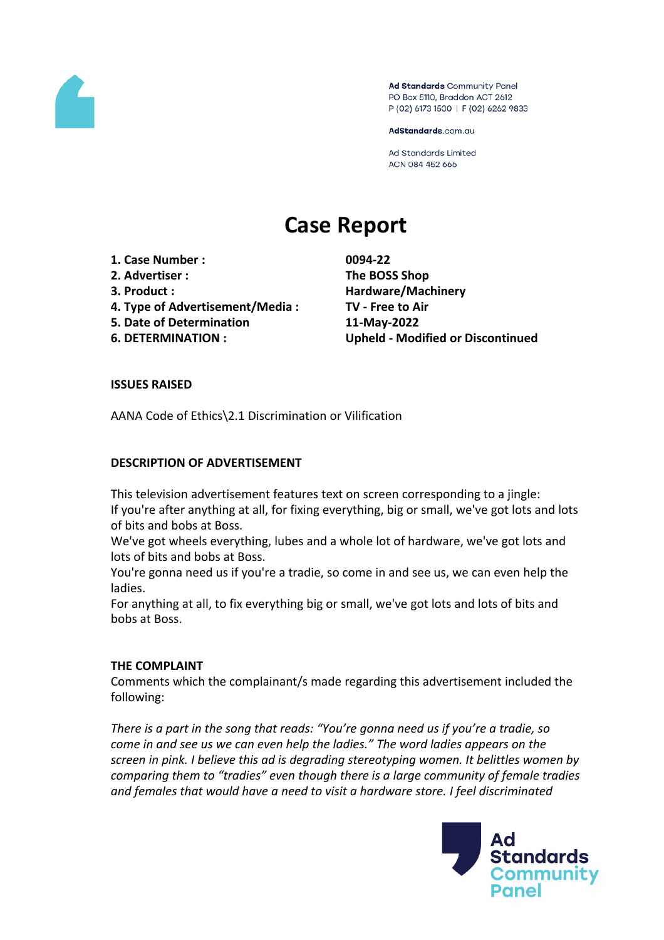

Ad Standards Community Panel PO Box 5110, Braddon ACT 2612 P (02) 6173 1500 | F (02) 6262 9833

AdStandards.com.au

Ad Standards Limited ACN 084 452 666

# **Case Report**

- **1. Case Number : 0094-22**
- **2. Advertiser : The BOSS Shop**
- 
- **4. Type of Advertisement/Media : TV - Free to Air**
- **5. Date of Determination 11-May-2022**
- 

**3. Product : Hardware/Machinery 6. DETERMINATION : Upheld - Modified or Discontinued**

## **ISSUES RAISED**

AANA Code of Ethics\2.1 Discrimination or Vilification

## **DESCRIPTION OF ADVERTISEMENT**

This television advertisement features text on screen corresponding to a jingle: If you're after anything at all, for fixing everything, big or small, we've got lots and lots of bits and bobs at Boss.

We've got wheels everything, lubes and a whole lot of hardware, we've got lots and lots of bits and bobs at Boss.

You're gonna need us if you're a tradie, so come in and see us, we can even help the ladies.

For anything at all, to fix everything big or small, we've got lots and lots of bits and bobs at Boss.

## **THE COMPLAINT**

Comments which the complainant/s made regarding this advertisement included the following:

*There is a part in the song that reads: "You're gonna need us if you're a tradie, so come in and see us we can even help the ladies." The word ladies appears on the screen in pink. I believe this ad is degrading stereotyping women. It belittles women by comparing them to "tradies" even though there is a large community of female tradies and females that would have a need to visit a hardware store. I feel discriminated*

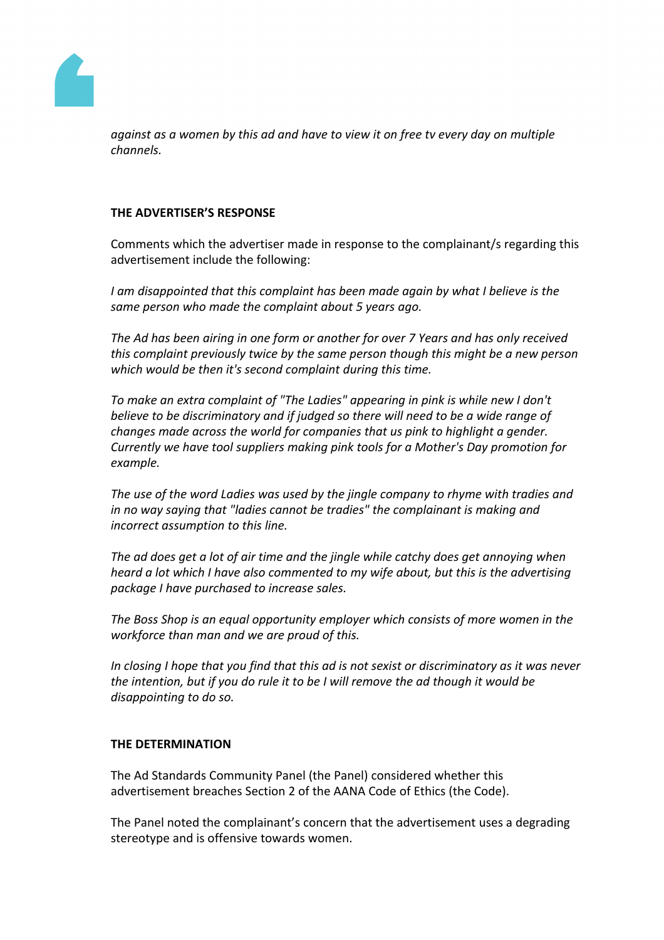

*against as a women by this ad and have to view it on free tv every day on multiple channels.*

## **THE ADVERTISER'S RESPONSE**

Comments which the advertiser made in response to the complainant/s regarding this advertisement include the following:

*I am disappointed that this complaint has been made again by what I believe is the same person who made the complaint about 5 years ago.* 

*The Ad has been airing in one form or another for over 7 Years and has only received this complaint previously twice by the same person though this might be a new person which would be then it's second complaint during this time.*

*To make an extra complaint of "The Ladies" appearing in pink is while new I don't believe to be discriminatory and if judged so there will need to be a wide range of changes made across the world for companies that us pink to highlight a gender. Currently we have tool suppliers making pink tools for a Mother's Day promotion for example.*

*The use of the word Ladies was used by the jingle company to rhyme with tradies and in no way saying that "ladies cannot be tradies" the complainant is making and incorrect assumption to this line.* 

*The ad does get a lot of air time and the jingle while catchy does get annoying when heard a lot which I have also commented to my wife about, but this is the advertising package I have purchased to increase sales.*

*The Boss Shop is an equal opportunity employer which consists of more women in the workforce than man and we are proud of this.*

In closing I hope that you find that this ad is not sexist or discriminatory as it was never *the intention, but if you do rule it to be I will remove the ad though it would be disappointing to do so.*

#### **THE DETERMINATION**

The Ad Standards Community Panel (the Panel) considered whether this advertisement breaches Section 2 of the AANA Code of Ethics (the Code).

The Panel noted the complainant's concern that the advertisement uses a degrading stereotype and is offensive towards women.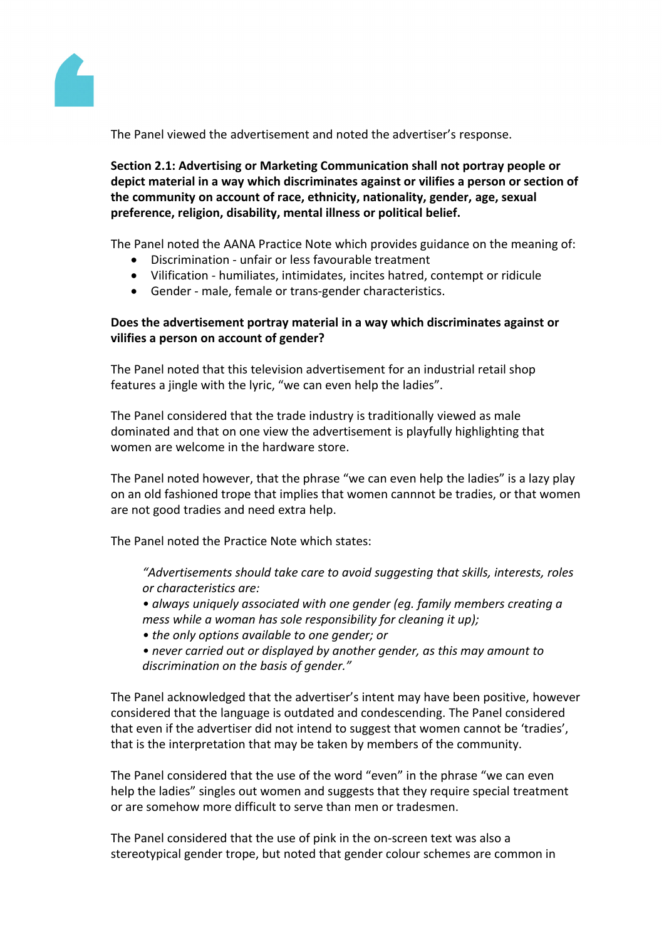

The Panel viewed the advertisement and noted the advertiser's response.

**Section 2.1: Advertising or Marketing Communication shall not portray people or depict material in a way which discriminates against or vilifies a person or section of the community on account of race, ethnicity, nationality, gender, age, sexual preference, religion, disability, mental illness or political belief.**

The Panel noted the AANA Practice Note which provides guidance on the meaning of:

- Discrimination unfair or less favourable treatment
- Vilification humiliates, intimidates, incites hatred, contempt or ridicule
- Gender male, female or trans-gender characteristics.

## **Does the advertisement portray material in a way which discriminates against or vilifies a person on account of gender?**

The Panel noted that this television advertisement for an industrial retail shop features a jingle with the lyric, "we can even help the ladies".

The Panel considered that the trade industry is traditionally viewed as male dominated and that on one view the advertisement is playfully highlighting that women are welcome in the hardware store.

The Panel noted however, that the phrase "we can even help the ladies" is a lazy play on an old fashioned trope that implies that women cannnot be tradies, or that women are not good tradies and need extra help.

The Panel noted the Practice Note which states:

*"Advertisements should take care to avoid suggesting that skills, interests, roles or characteristics are:*

*• always uniquely associated with one gender (eg. family members creating a mess while a woman has sole responsibility for cleaning it up);*

- *• the only options available to one gender; or*
- *• never carried out or displayed by another gender, as this may amount to discrimination on the basis of gender."*

The Panel acknowledged that the advertiser's intent may have been positive, however considered that the language is outdated and condescending. The Panel considered that even if the advertiser did not intend to suggest that women cannot be 'tradies', that is the interpretation that may be taken by members of the community.

The Panel considered that the use of the word "even" in the phrase "we can even help the ladies" singles out women and suggests that they require special treatment or are somehow more difficult to serve than men or tradesmen.

The Panel considered that the use of pink in the on-screen text was also a stereotypical gender trope, but noted that gender colour schemes are common in